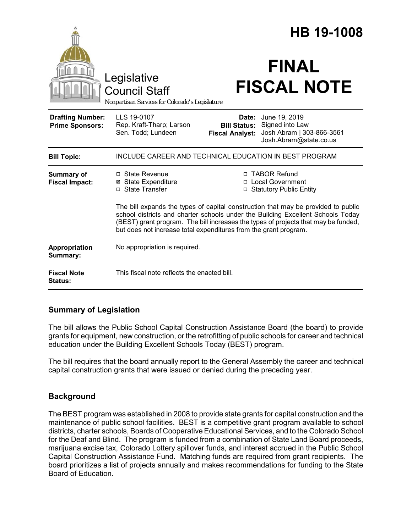|                                                   |                                                                                                                                                                                                                                                                                                                                | <b>HB 19-1008</b>                                      |                                                                                         |
|---------------------------------------------------|--------------------------------------------------------------------------------------------------------------------------------------------------------------------------------------------------------------------------------------------------------------------------------------------------------------------------------|--------------------------------------------------------|-----------------------------------------------------------------------------------------|
|                                                   | Legislative<br><b>Council Staff</b><br>Nonpartisan Services for Colorado's Legislature                                                                                                                                                                                                                                         |                                                        | <b>FINAL</b><br><b>FISCAL NOTE</b>                                                      |
| <b>Drafting Number:</b><br><b>Prime Sponsors:</b> | LLS 19-0107<br>Rep. Kraft-Tharp; Larson<br>Sen. Todd; Lundeen                                                                                                                                                                                                                                                                  | Date:<br><b>Bill Status:</b><br><b>Fiscal Analyst:</b> | June 19, 2019<br>Signed into Law<br>Josh Abram   303-866-3561<br>Josh.Abram@state.co.us |
| <b>Bill Topic:</b>                                | INCLUDE CAREER AND TECHNICAL EDUCATION IN BEST PROGRAM                                                                                                                                                                                                                                                                         |                                                        |                                                                                         |
| <b>Summary of</b><br><b>Fiscal Impact:</b>        | □ State Revenue<br><b>⊠</b> State Expenditure<br>□ State Transfer                                                                                                                                                                                                                                                              |                                                        | □ TABOR Refund<br>□ Local Government<br>□ Statutory Public Entity                       |
|                                                   | The bill expands the types of capital construction that may be provided to public<br>school districts and charter schools under the Building Excellent Schools Today<br>(BEST) grant program. The bill increases the types of projects that may be funded,<br>but does not increase total expenditures from the grant program. |                                                        |                                                                                         |
| Appropriation<br>Summary:                         | No appropriation is required.                                                                                                                                                                                                                                                                                                  |                                                        |                                                                                         |
| <b>Fiscal Note</b><br><b>Status:</b>              | This fiscal note reflects the enacted bill.                                                                                                                                                                                                                                                                                    |                                                        |                                                                                         |

# **Summary of Legislation**

The bill allows the Public School Capital Construction Assistance Board (the board) to provide grants for equipment, new construction, or the retrofitting of public schools for career and technical education under the Building Excellent Schools Today (BEST) program.

The bill requires that the board annually report to the General Assembly the career and technical capital construction grants that were issued or denied during the preceding year.

# **Background**

The BEST program was established in 2008 to provide state grants for capital construction and the maintenance of public school facilities. BEST is a competitive grant program available to school districts, charter schools, Boards of Cooperative Educational Services, and to the Colorado School for the Deaf and Blind. The program is funded from a combination of State Land Board proceeds, marijuana excise tax, Colorado Lottery spillover funds, and interest accrued in the Public School Capital Construction Assistance Fund. Matching funds are required from grant recipients. The board prioritizes a list of projects annually and makes recommendations for funding to the State Board of Education.